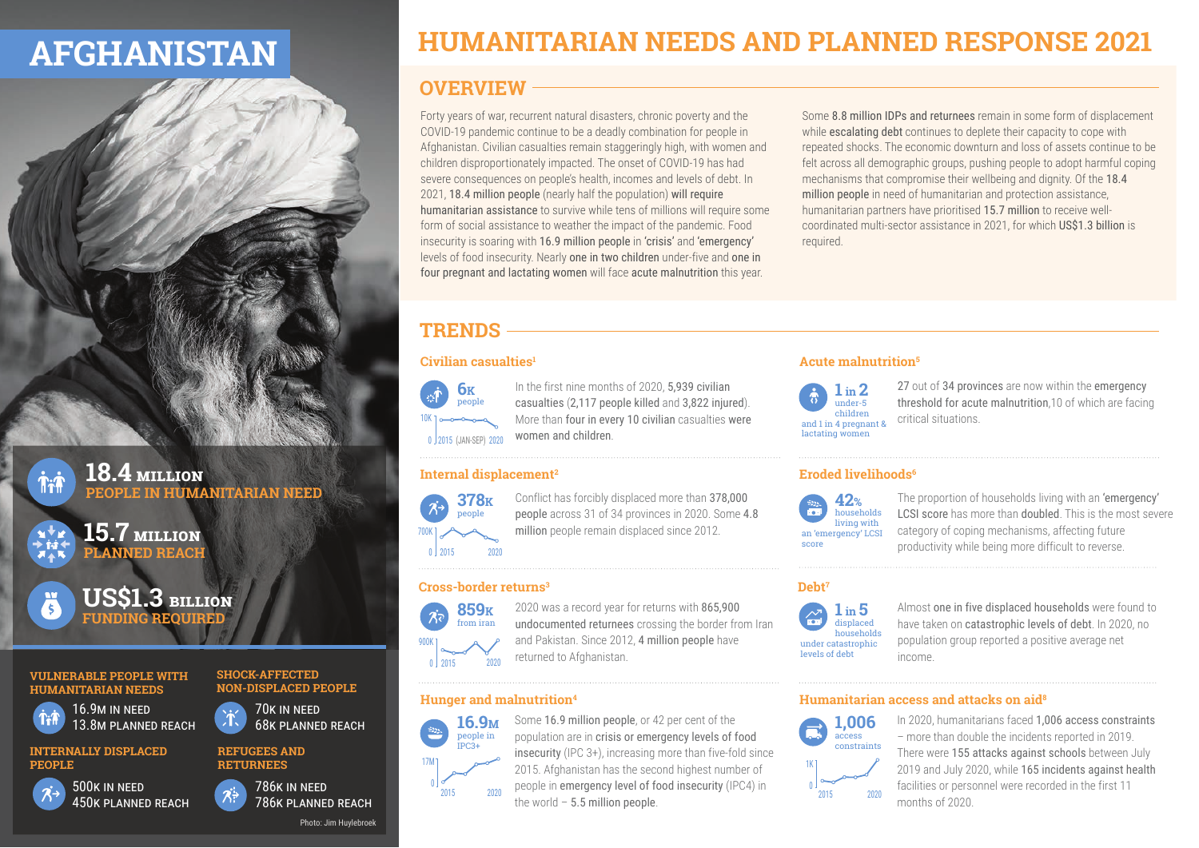## **AFGHANISTAN**

## **HUMANITARIAN NEEDS AND PLANNED RESPONSE 2021**

### **OVERVIEW**

Forty years of war, recurrent natural disasters, chronic poverty and the COVID-19 pandemic continue to be a deadly combination for people in Afghanistan. Civilian casualties remain staggeringly high, with women and children disproportionately impacted. The onset of COVID-19 has had severe consequences on people's health, incomes and levels of debt. In 2021, 18.4 million people (nearly half the population) will require humanitarian assistance to survive while tens of millions will require some form of social assistance to weather the impact of the pandemic. Food insecurity is soaring with 16.9 million people in 'crisis' and 'emergency' levels of food insecurity. Nearly one in two children under-five and one in four pregnant and lactating women will face acute malnutrition this year.

Some 8.8 million IDPs and returnees remain in some form of displacement while escalating debt continues to deplete their capacity to cope with repeated shocks. The economic downturn and loss of assets continue to be felt across all demographic groups, pushing people to adopt harmful coping mechanisms that compromise their wellbeing and dignity. Of the 18.4 million people in need of humanitarian and protection assistance, humanitarian partners have prioritised 15.7 million to receive wellcoordinated multi-sector assistance in 2021, for which US\$1.3 billion is required.

## **TRENDS**

#### **Civilian casualties1**



In the first nine months of 2020, 5,939 civilian casualties (2,117 people killed and 3,822 injured). More than four in every 10 civilian casualties were women and children.

#### **Internal displacement2**



Conflict has forcibly displaced more than 378,000 people across 31 of 34 provinces in 2020. Some 4.8 million people remain displaced since 2012.

#### **Cross-border returns3**



2020 was a record year for returns with 865,900 undocumented returnees crossing the border from Iran and Pakistan. Since 2012, 4 million people have returned to Afghanistan.

#### **Hunger and malnutrition4**

#### **16.9M** people in IPC3+ 0 17M 2015 2020

Some 16.9 million people, or 42 per cent of the population are in crisis or emergency levels of food insecurity (IPC 3+), increasing more than five-fold since 2015. Afghanistan has the second highest number of people in emergency level of food insecurity (IPC4) in the world  $-5.5$  million people.

#### **Acute malnutrition5**



27 out of 34 provinces are now within the emergency threshold for acute malnutrition,10 of which are facing critical situations.

#### **Eroded livelihoods6**



The proportion of households living with an 'emergency' LCSI score has more than doubled. This is the most severe category of coping mechanisms, affecting future productivity while being more difficult to reverse.

**Debt7**



Almost one in five displaced households were found to have taken on catastrophic levels of debt. In 2020, no population group reported a positive average net income.

#### **Humanitarian access and attacks on aid8**



In 2020, humanitarians faced 1,006 access constraints – more than double the incidents reported in 2019. There were 155 attacks against schools between July 2019 and July 2020, while 165 incidents against health facilities or personnel were recorded in the first 11 months of 2020.

**VULNERABLE PEOPLE WITH HUMANITARIAN NEEDS** 16.9M IN NEED

**SHOCK-AFFECTED NON-DISPLACED PEOPLE**

70K IN NEED 68K PLANNED REACH

**INTERNALLY DISPLACED PEOPLE**

13.8M PLANNED REACH



**The Time** 

 $\overline{3}$ 



**US\$1.3 BILLION FUNDING REQUIRED**

**15.7 MILLION PLANNED REACH**

**18.4 MILLION**

**PEOPLE IN HUMANITARIAN NEED**

786K IN NEED 786K PLANNED REACH

**REFUGEES AND RETURNEES**

Photo: Jim Huylebroek

# 0 2015 2020